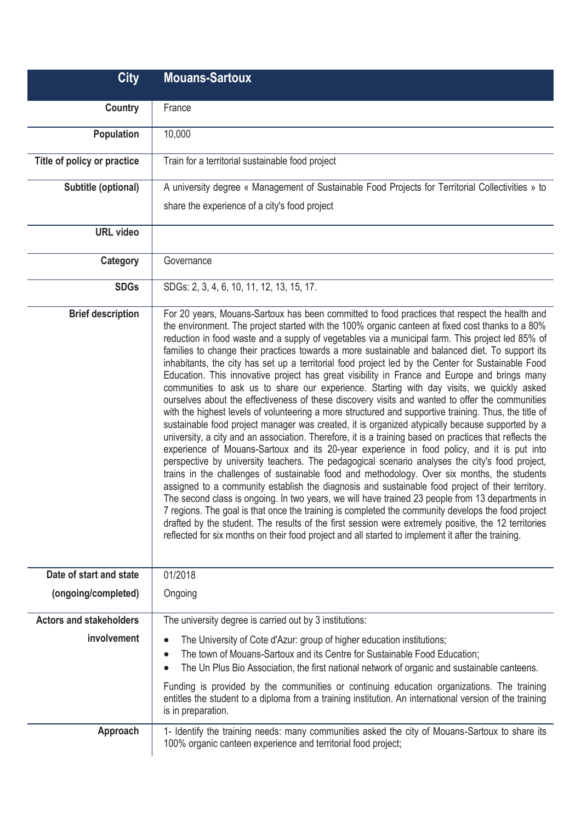| <b>City</b>                    | <b>Mouans-Sartoux</b>                                                                                                                                                                                                                                                                                                                                                                                                                                                                                                                                                                                                                                                                                                                                                                                                                                                                                                                                                                                                                                                                                                                                                                                                                                                                                                                                                                                                                                                                                                                                                                                                                                                                                                                                                                                                                                                                                                                                            |
|--------------------------------|------------------------------------------------------------------------------------------------------------------------------------------------------------------------------------------------------------------------------------------------------------------------------------------------------------------------------------------------------------------------------------------------------------------------------------------------------------------------------------------------------------------------------------------------------------------------------------------------------------------------------------------------------------------------------------------------------------------------------------------------------------------------------------------------------------------------------------------------------------------------------------------------------------------------------------------------------------------------------------------------------------------------------------------------------------------------------------------------------------------------------------------------------------------------------------------------------------------------------------------------------------------------------------------------------------------------------------------------------------------------------------------------------------------------------------------------------------------------------------------------------------------------------------------------------------------------------------------------------------------------------------------------------------------------------------------------------------------------------------------------------------------------------------------------------------------------------------------------------------------------------------------------------------------------------------------------------------------|
| Country                        | France                                                                                                                                                                                                                                                                                                                                                                                                                                                                                                                                                                                                                                                                                                                                                                                                                                                                                                                                                                                                                                                                                                                                                                                                                                                                                                                                                                                                                                                                                                                                                                                                                                                                                                                                                                                                                                                                                                                                                           |
| Population                     | 10,000                                                                                                                                                                                                                                                                                                                                                                                                                                                                                                                                                                                                                                                                                                                                                                                                                                                                                                                                                                                                                                                                                                                                                                                                                                                                                                                                                                                                                                                                                                                                                                                                                                                                                                                                                                                                                                                                                                                                                           |
| Title of policy or practice    | Train for a territorial sustainable food project                                                                                                                                                                                                                                                                                                                                                                                                                                                                                                                                                                                                                                                                                                                                                                                                                                                                                                                                                                                                                                                                                                                                                                                                                                                                                                                                                                                                                                                                                                                                                                                                                                                                                                                                                                                                                                                                                                                 |
| Subtitle (optional)            | A university degree « Management of Sustainable Food Projects for Territorial Collectivities » to                                                                                                                                                                                                                                                                                                                                                                                                                                                                                                                                                                                                                                                                                                                                                                                                                                                                                                                                                                                                                                                                                                                                                                                                                                                                                                                                                                                                                                                                                                                                                                                                                                                                                                                                                                                                                                                                |
|                                | share the experience of a city's food project                                                                                                                                                                                                                                                                                                                                                                                                                                                                                                                                                                                                                                                                                                                                                                                                                                                                                                                                                                                                                                                                                                                                                                                                                                                                                                                                                                                                                                                                                                                                                                                                                                                                                                                                                                                                                                                                                                                    |
| <b>URL</b> video               |                                                                                                                                                                                                                                                                                                                                                                                                                                                                                                                                                                                                                                                                                                                                                                                                                                                                                                                                                                                                                                                                                                                                                                                                                                                                                                                                                                                                                                                                                                                                                                                                                                                                                                                                                                                                                                                                                                                                                                  |
| Category                       | Governance                                                                                                                                                                                                                                                                                                                                                                                                                                                                                                                                                                                                                                                                                                                                                                                                                                                                                                                                                                                                                                                                                                                                                                                                                                                                                                                                                                                                                                                                                                                                                                                                                                                                                                                                                                                                                                                                                                                                                       |
| <b>SDGs</b>                    | SDGs: 2, 3, 4, 6, 10, 11, 12, 13, 15, 17.                                                                                                                                                                                                                                                                                                                                                                                                                                                                                                                                                                                                                                                                                                                                                                                                                                                                                                                                                                                                                                                                                                                                                                                                                                                                                                                                                                                                                                                                                                                                                                                                                                                                                                                                                                                                                                                                                                                        |
| <b>Brief description</b>       | For 20 years, Mouans-Sartoux has been committed to food practices that respect the health and<br>the environment. The project started with the 100% organic canteen at fixed cost thanks to a 80%<br>reduction in food waste and a supply of vegetables via a municipal farm. This project led 85% of<br>families to change their practices towards a more sustainable and balanced diet. To support its<br>inhabitants, the city has set up a territorial food project led by the Center for Sustainable Food<br>Education. This innovative project has great visibility in France and Europe and brings many<br>communities to ask us to share our experience. Starting with day visits, we quickly asked<br>ourselves about the effectiveness of these discovery visits and wanted to offer the communities<br>with the highest levels of volunteering a more structured and supportive training. Thus, the title of<br>sustainable food project manager was created, it is organized atypically because supported by a<br>university, a city and an association. Therefore, it is a training based on practices that reflects the<br>experience of Mouans-Sartoux and its 20-year experience in food policy, and it is put into<br>perspective by university teachers. The pedagogical scenario analyses the city's food project,<br>trains in the challenges of sustainable food and methodology. Over six months, the students<br>assigned to a community establish the diagnosis and sustainable food project of their territory.<br>The second class is ongoing. In two years, we will have trained 23 people from 13 departments in<br>7 regions. The goal is that once the training is completed the community develops the food project<br>drafted by the student. The results of the first session were extremely positive, the 12 territories<br>reflected for six months on their food project and all started to implement it after the training. |
| Date of start and state        | 01/2018                                                                                                                                                                                                                                                                                                                                                                                                                                                                                                                                                                                                                                                                                                                                                                                                                                                                                                                                                                                                                                                                                                                                                                                                                                                                                                                                                                                                                                                                                                                                                                                                                                                                                                                                                                                                                                                                                                                                                          |
| (ongoing/completed)            | Ongoing                                                                                                                                                                                                                                                                                                                                                                                                                                                                                                                                                                                                                                                                                                                                                                                                                                                                                                                                                                                                                                                                                                                                                                                                                                                                                                                                                                                                                                                                                                                                                                                                                                                                                                                                                                                                                                                                                                                                                          |
| <b>Actors and stakeholders</b> | The university degree is carried out by 3 institutions:                                                                                                                                                                                                                                                                                                                                                                                                                                                                                                                                                                                                                                                                                                                                                                                                                                                                                                                                                                                                                                                                                                                                                                                                                                                                                                                                                                                                                                                                                                                                                                                                                                                                                                                                                                                                                                                                                                          |
| involvement                    | The University of Cote d'Azur: group of higher education institutions;<br>The town of Mouans-Sartoux and its Centre for Sustainable Food Education;<br>The Un Plus Bio Association, the first national network of organic and sustainable canteens.                                                                                                                                                                                                                                                                                                                                                                                                                                                                                                                                                                                                                                                                                                                                                                                                                                                                                                                                                                                                                                                                                                                                                                                                                                                                                                                                                                                                                                                                                                                                                                                                                                                                                                              |
|                                | Funding is provided by the communities or continuing education organizations. The training<br>entitles the student to a diploma from a training institution. An international version of the training<br>is in preparation.                                                                                                                                                                                                                                                                                                                                                                                                                                                                                                                                                                                                                                                                                                                                                                                                                                                                                                                                                                                                                                                                                                                                                                                                                                                                                                                                                                                                                                                                                                                                                                                                                                                                                                                                      |
| Approach                       | 1- Identify the training needs: many communities asked the city of Mouans-Sartoux to share its<br>100% organic canteen experience and territorial food project;                                                                                                                                                                                                                                                                                                                                                                                                                                                                                                                                                                                                                                                                                                                                                                                                                                                                                                                                                                                                                                                                                                                                                                                                                                                                                                                                                                                                                                                                                                                                                                                                                                                                                                                                                                                                  |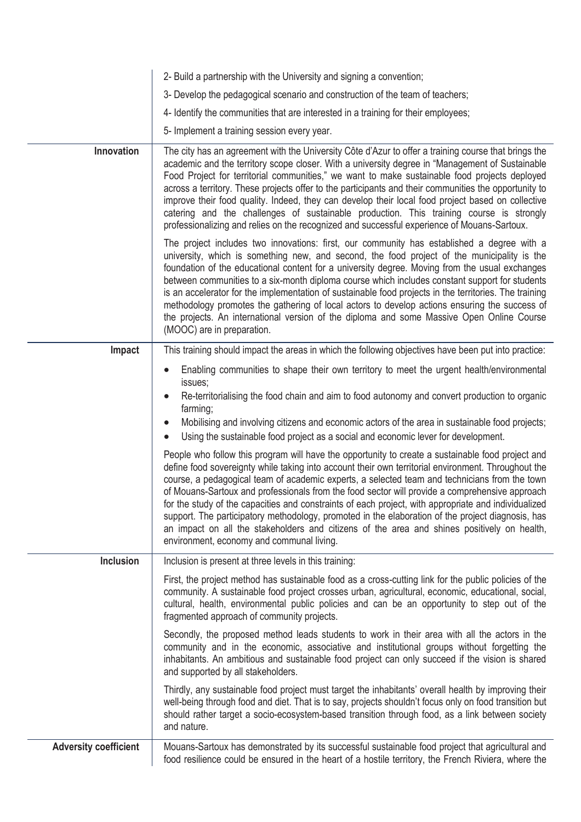|                              | 2- Build a partnership with the University and signing a convention;                                                                                                                                                                                                                                                                                                                                                                                                                                                                                                                                                                                                                                                                                                 |
|------------------------------|----------------------------------------------------------------------------------------------------------------------------------------------------------------------------------------------------------------------------------------------------------------------------------------------------------------------------------------------------------------------------------------------------------------------------------------------------------------------------------------------------------------------------------------------------------------------------------------------------------------------------------------------------------------------------------------------------------------------------------------------------------------------|
|                              | 3- Develop the pedagogical scenario and construction of the team of teachers;                                                                                                                                                                                                                                                                                                                                                                                                                                                                                                                                                                                                                                                                                        |
|                              | 4- Identify the communities that are interested in a training for their employees;                                                                                                                                                                                                                                                                                                                                                                                                                                                                                                                                                                                                                                                                                   |
|                              | 5- Implement a training session every year.                                                                                                                                                                                                                                                                                                                                                                                                                                                                                                                                                                                                                                                                                                                          |
| Innovation                   | The city has an agreement with the University Côte d'Azur to offer a training course that brings the<br>academic and the territory scope closer. With a university degree in "Management of Sustainable<br>Food Project for territorial communities," we want to make sustainable food projects deployed<br>across a territory. These projects offer to the participants and their communities the opportunity to<br>improve their food quality. Indeed, they can develop their local food project based on collective<br>catering and the challenges of sustainable production. This training course is strongly<br>professionalizing and relies on the recognized and successful experience of Mouans-Sartoux.                                                     |
|                              | The project includes two innovations: first, our community has established a degree with a<br>university, which is something new, and second, the food project of the municipality is the<br>foundation of the educational content for a university degree. Moving from the usual exchanges<br>between communities to a six-month diploma course which includes constant support for students<br>is an accelerator for the implementation of sustainable food projects in the territories. The training<br>methodology promotes the gathering of local actors to develop actions ensuring the success of<br>the projects. An international version of the diploma and some Massive Open Online Course<br>(MOOC) are in preparation.                                  |
| Impact                       | This training should impact the areas in which the following objectives have been put into practice:                                                                                                                                                                                                                                                                                                                                                                                                                                                                                                                                                                                                                                                                 |
|                              | Enabling communities to shape their own territory to meet the urgent health/environmental<br>$\bullet$                                                                                                                                                                                                                                                                                                                                                                                                                                                                                                                                                                                                                                                               |
|                              | issues;<br>Re-territorialising the food chain and aim to food autonomy and convert production to organic<br>$\bullet$<br>farming;<br>Mobilising and involving citizens and economic actors of the area in sustainable food projects;<br>$\bullet$                                                                                                                                                                                                                                                                                                                                                                                                                                                                                                                    |
|                              | Using the sustainable food project as a social and economic lever for development.<br>$\bullet$                                                                                                                                                                                                                                                                                                                                                                                                                                                                                                                                                                                                                                                                      |
|                              | People who follow this program will have the opportunity to create a sustainable food project and<br>define food sovereignty while taking into account their own territorial environment. Throughout the<br>course, a pedagogical team of academic experts, a selected team and technicians from the town<br>of Mouans-Sartoux and professionals from the food sector will provide a comprehensive approach<br>for the study of the capacities and constraints of each project, with appropriate and individualized<br>support. The participatory methodology, promoted in the elaboration of the project diagnosis, has<br>an impact on all the stakeholders and citizens of the area and shines positively on health,<br>environment, economy and communal living. |
| <b>Inclusion</b>             | Inclusion is present at three levels in this training:                                                                                                                                                                                                                                                                                                                                                                                                                                                                                                                                                                                                                                                                                                               |
|                              | First, the project method has sustainable food as a cross-cutting link for the public policies of the<br>community. A sustainable food project crosses urban, agricultural, economic, educational, social,<br>cultural, health, environmental public policies and can be an opportunity to step out of the<br>fragmented approach of community projects.                                                                                                                                                                                                                                                                                                                                                                                                             |
|                              | Secondly, the proposed method leads students to work in their area with all the actors in the<br>community and in the economic, associative and institutional groups without forgetting the<br>inhabitants. An ambitious and sustainable food project can only succeed if the vision is shared<br>and supported by all stakeholders.                                                                                                                                                                                                                                                                                                                                                                                                                                 |
|                              | Thirdly, any sustainable food project must target the inhabitants' overall health by improving their<br>well-being through food and diet. That is to say, projects shouldn't focus only on food transition but<br>should rather target a socio-ecosystem-based transition through food, as a link between society<br>and nature.                                                                                                                                                                                                                                                                                                                                                                                                                                     |
| <b>Adversity coefficient</b> | Mouans-Sartoux has demonstrated by its successful sustainable food project that agricultural and<br>food resilience could be ensured in the heart of a hostile territory, the French Riviera, where the                                                                                                                                                                                                                                                                                                                                                                                                                                                                                                                                                              |